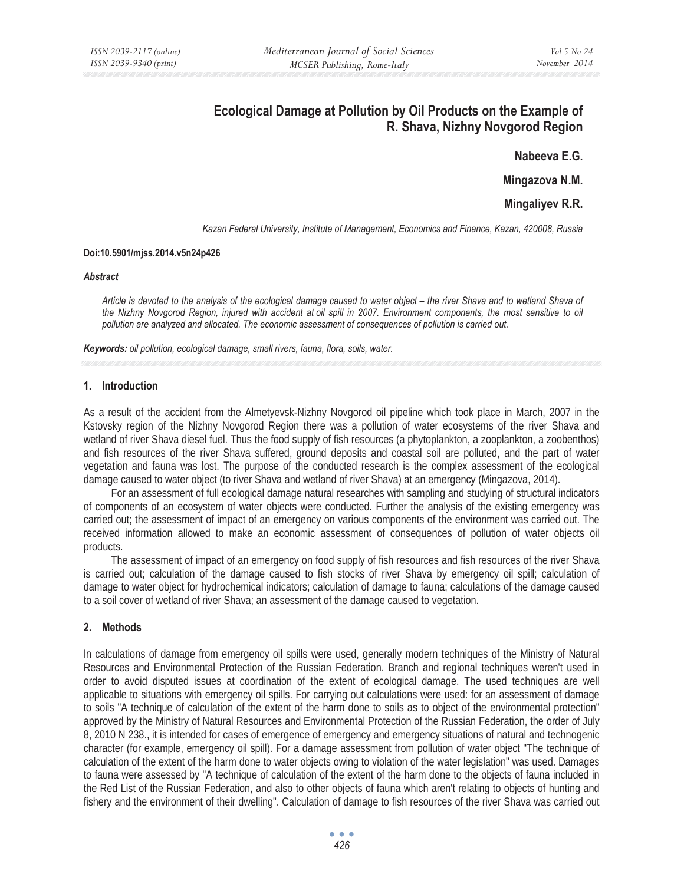# **Ecological Damage at Pollution by Oil Products on the Example of R. Shava, Nizhny Novgorod Region**

**Nabeeva E.G.** 

**Mingazova N.M.** 

**Mingaliyev R.R.**

*Kazan Federal University, Institute of Management, Economics and Finance, Kazan, 420008, Russia* 

#### **Doi:10.5901/mjss.2014.v5n24p426**

#### *Abstract*

*Article is devoted to the analysis of the ecological damage caused to water object – the river Shava and to wetland Shava of the Nizhny Novgorod Region, injured with accident at oil spill in 2007. Environment components, the most sensitive to oil pollution are analyzed and allocated. The economic assessment of consequences of pollution is carried out.* 

*Keywords: oil pollution, ecological damage, small rivers, fauna, flora, soils, water.*

#### **1. Introduction**

As a result of the accident from the Almetyevsk-Nizhny Novgorod oil pipeline which took place in March, 2007 in the Kstovsky region of the Nizhny Novgorod Region there was a pollution of water ecosystems of the river Shava and wetland of river Shava diesel fuel. Thus the food supply of fish resources (a phytoplankton, a zooplankton, a zoobenthos) and fish resources of the river Shava suffered, ground deposits and coastal soil are polluted, and the part of water vegetation and fauna was lost. The purpose of the conducted research is the complex assessment of the ecological damage caused to water object (to river Shava and wetland of river Shava) at an emergency (Mingazova, 2014).

For an assessment of full ecological damage natural researches with sampling and studying of structural indicators of components of an ecosystem of water objects were conducted. Further the analysis of the existing emergency was carried out; the assessment of impact of an emergency on various components of the environment was carried out. The received information allowed to make an economic assessment of consequences of pollution of water objects oil products.

The assessment of impact of an emergency on food supply of fish resources and fish resources of the river Shava is carried out; calculation of the damage caused to fish stocks of river Shava by emergency oil spill; calculation of damage to water object for hydrochemical indicators; calculation of damage to fauna; calculations of the damage caused to a soil cover of wetland of river Shava; an assessment of the damage caused to vegetation.

## **2. Methods**

In calculations of damage from emergency oil spills were used, generally modern techniques of the Ministry of Natural Resources and Environmental Protection of the Russian Federation. Branch and regional techniques weren't used in order to avoid disputed issues at coordination of the extent of ecological damage. The used techniques are well applicable to situations with emergency oil spills. For carrying out calculations were used: for an assessment of damage to soils "A technique of calculation of the extent of the harm done to soils as to object of the environmental protection" approved by the Ministry of Natural Resources and Environmental Protection of the Russian Federation, the order of July 8, 2010 N 238., it is intended for cases of emergence of emergency and emergency situations of natural and technogenic character (for example, emergency oil spill). For a damage assessment from pollution of water object "The technique of calculation of the extent of the harm done to water objects owing to violation of the water legislation" was used. Damages to fauna were assessed by "A technique of calculation of the extent of the harm done to the objects of fauna included in the Red List of the Russian Federation, and also to other objects of fauna which aren't relating to objects of hunting and fishery and the environment of their dwelling". Calculation of damage to fish resources of the river Shava was carried out

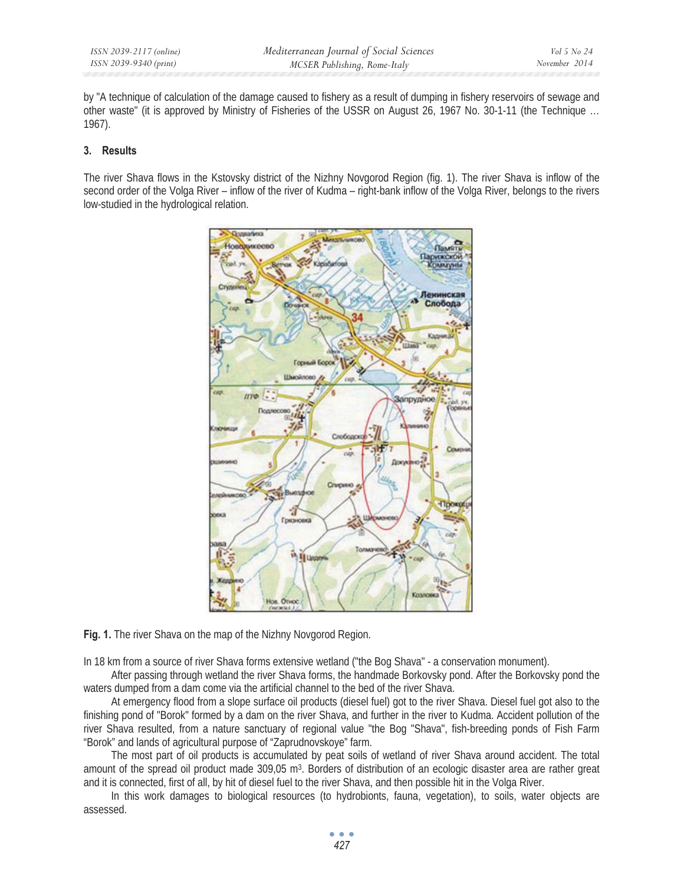by "A technique of calculation of the damage caused to fishery as a result of dumping in fishery reservoirs of sewage and other waste" (it is approved by Ministry of Fisheries of the USSR on August 26, 1967 No. 30-1-11 (the Technique … 1967).

## **3. Results**

The river Shava flows in the Kstovsky district of the Nizhny Novgorod Region (fig. 1). The river Shava is inflow of the second order of the Volga River – inflow of the river of Kudma – right-bank inflow of the Volga River, belongs to the rivers low-studied in the hydrological relation.



**Fig. 1.** The river Shava on the map of the Nizhny Novgorod Region.

In 18 km from a source of river Shava forms extensive wetland ("the Bog Shava" - a conservation monument).

After passing through wetland the river Shava forms, the handmade Borkovsky pond. After the Borkovsky pond the waters dumped from a dam come via the artificial channel to the bed of the river Shava.

At emergency flood from a slope surface oil products (diesel fuel) got to the river Shava. Diesel fuel got also to the finishing pond of "Borok" formed by a dam on the river Shava, and further in the river to Kudma. Accident pollution of the river Shava resulted, from a nature sanctuary of regional value "the Bog "Shava", fish-breeding ponds of Fish Farm "Borok" and lands of agricultural purpose of "Zaprudnovskoye" farm.

The most part of oil products is accumulated by peat soils of wetland of river Shava around accident. The total amount of the spread oil product made 309,05 m3. Borders of distribution of an ecologic disaster area are rather great and it is connected, first of all, by hit of diesel fuel to the river Shava, and then possible hit in the Volga River.

In this work damages to biological resources (to hydrobionts, fauna, vegetation), to soils, water objects are assessed.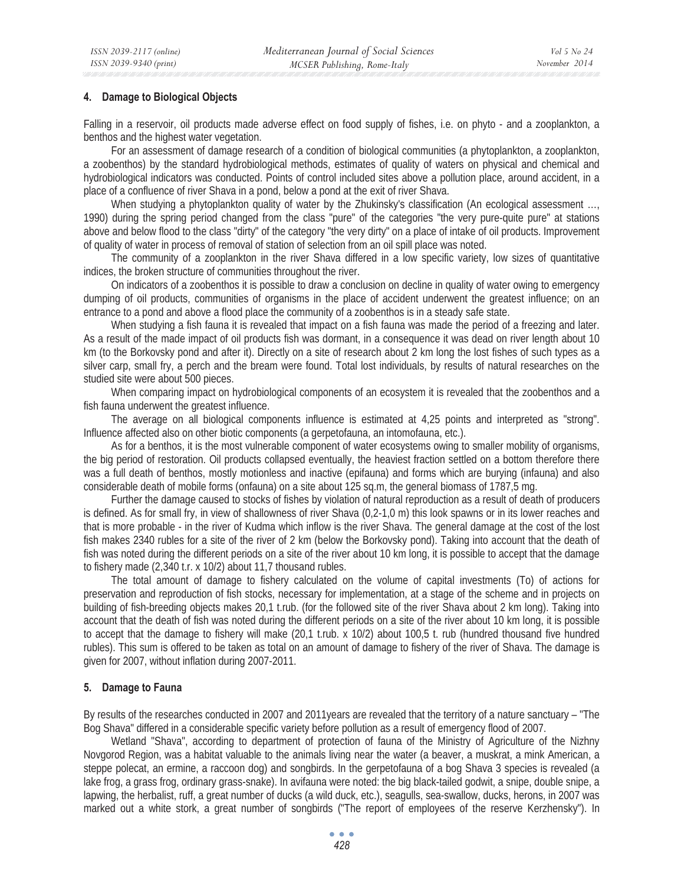### **4. Damage to Biological Objects**

Falling in a reservoir, oil products made adverse effect on food supply of fishes, i.e. on phyto - and a zooplankton, a benthos and the highest water vegetation.

For an assessment of damage research of a condition of biological communities (a phytoplankton, a zooplankton, a zoobenthos) by the standard hydrobiological methods, estimates of quality of waters on physical and chemical and hydrobiological indicators was conducted. Points of control included sites above a pollution place, around accident, in a place of a confluence of river Shava in a pond, below a pond at the exit of river Shava.

When studying a phytoplankton quality of water by the Zhukinsky's classification (An ecological assessment ..., 1990) during the spring period changed from the class "pure" of the categories "the very pure-quite pure" at stations above and below flood to the class "dirty" of the category "the very dirty" on a place of intake of oil products. Improvement of quality of water in process of removal of station of selection from an oil spill place was noted.

The community of a zooplankton in the river Shava differed in a low specific variety, low sizes of quantitative indices, the broken structure of communities throughout the river.

On indicators of a zoobenthos it is possible to draw a conclusion on decline in quality of water owing to emergency dumping of oil products, communities of organisms in the place of accident underwent the greatest influence; on an entrance to a pond and above a flood place the community of a zoobenthos is in a steady safe state.

When studying a fish fauna it is revealed that impact on a fish fauna was made the period of a freezing and later. As a result of the made impact of oil products fish was dormant, in a consequence it was dead on river length about 10 km (to the Borkovsky pond and after it). Directly on a site of research about 2 km long the lost fishes of such types as a silver carp, small fry, a perch and the bream were found. Total lost individuals, by results of natural researches on the studied site were about 500 pieces.

When comparing impact on hydrobiological components of an ecosystem it is revealed that the zoobenthos and a fish fauna underwent the greatest influence.

The average on all biological components influence is estimated at 4,25 points and interpreted as "strong". Influence affected also on other biotic components (a gerpetofauna, an intomofauna, etc.).

As for a benthos, it is the most vulnerable component of water ecosystems owing to smaller mobility of organisms, the big period of restoration. Oil products collapsed eventually, the heaviest fraction settled on a bottom therefore there was a full death of benthos, mostly motionless and inactive (epifauna) and forms which are burying (infauna) and also considerable death of mobile forms (onfauna) on a site about 125 sq.m, the general biomass of 1787,5 mg.

Further the damage caused to stocks of fishes by violation of natural reproduction as a result of death of producers is defined. As for small fry, in view of shallowness of river Shava (0,2-1,0 m) this look spawns or in its lower reaches and that is more probable - in the river of Kudma which inflow is the river Shava. The general damage at the cost of the lost fish makes 2340 rubles for a site of the river of 2 km (below the Borkovsky pond). Taking into account that the death of fish was noted during the different periods on a site of the river about 10 km long, it is possible to accept that the damage to fishery made (2,340 t.r. x 10/2) about 11,7 thousand rubles.

The total amount of damage to fishery calculated on the volume of capital investments (To) of actions for preservation and reproduction of fish stocks, necessary for implementation, at a stage of the scheme and in projects on building of fish-breeding objects makes 20,1 t.rub. (for the followed site of the river Shava about 2 km long). Taking into account that the death of fish was noted during the different periods on a site of the river about 10 km long, it is possible to accept that the damage to fishery will make (20,1 t.rub. x 10/2) about 100,5 t. rub (hundred thousand five hundred rubles). This sum is offered to be taken as total on an amount of damage to fishery of the river of Shava. The damage is given for 2007, without inflation during 2007-2011.

#### **5. Damage to Fauna**

By results of the researches conducted in 2007 and 2011years are revealed that the territory of a nature sanctuary – "The Bog Shava" differed in a considerable specific variety before pollution as a result of emergency flood of 2007.

Wetland "Shava", according to department of protection of fauna of the Ministry of Agriculture of the Nizhny Novgorod Region, was a habitat valuable to the animals living near the water (a beaver, a muskrat, a mink American, a steppe polecat, an ermine, a raccoon dog) and songbirds. In the gerpetofauna of a bog Shava 3 species is revealed (a lake frog, a grass frog, ordinary grass-snake). In avifauna were noted: the big black-tailed godwit, a snipe, double snipe, a lapwing, the herbalist, ruff, a great number of ducks (a wild duck, etc.), seagulls, sea-swallow, ducks, herons, in 2007 was marked out a white stork, a great number of songbirds ("The report of employees of the reserve Kerzhensky"). In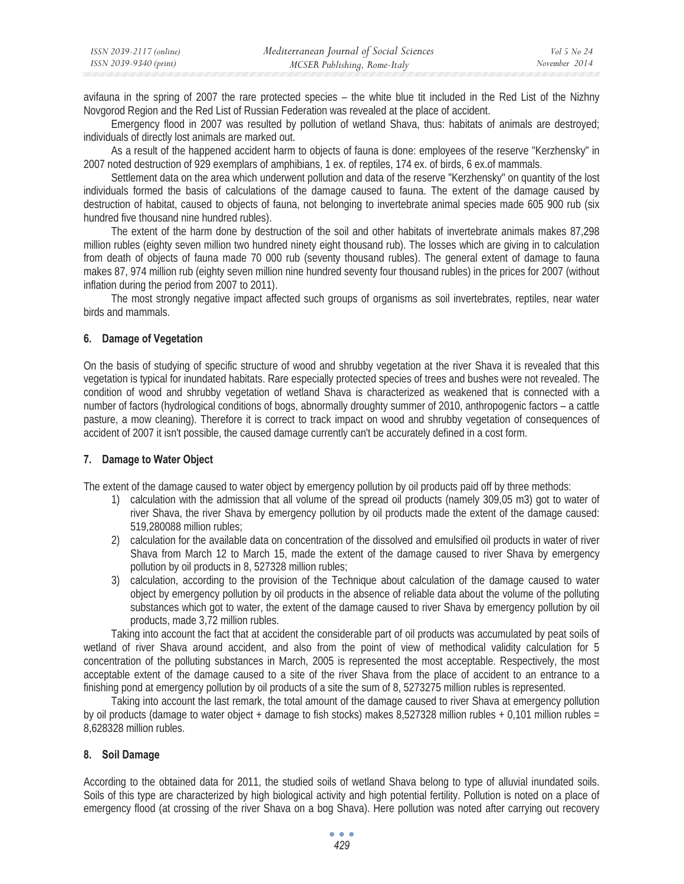| ISSN 2039-2117 (online) | Mediterranean Journal of Social Sciences | Vol 5 No 24   |
|-------------------------|------------------------------------------|---------------|
| ISSN 2039-9340 (print)  | MCSER Publishing, Rome-Italy             | November 2014 |

avifauna in the spring of 2007 the rare protected species – the white blue tit included in the Red List of the Nizhny Novgorod Region and the Red List of Russian Federation was revealed at the place of accident.

Emergency flood in 2007 was resulted by pollution of wetland Shava, thus: habitats of animals are destroyed; individuals of directly lost animals are marked out.

As a result of the happened accident harm to objects of fauna is done: employees of the reserve "Kerzhensky" in 2007 noted destruction of 929 exemplars of amphibians, 1 ex. of reptiles, 174 ex. of birds, 6 ex.of mammals.

Settlement data on the area which underwent pollution and data of the reserve "Kerzhensky" on quantity of the lost individuals formed the basis of calculations of the damage caused to fauna. The extent of the damage caused by destruction of habitat, caused to objects of fauna, not belonging to invertebrate animal species made 605 900 rub (six hundred five thousand nine hundred rubles).

The extent of the harm done by destruction of the soil and other habitats of invertebrate animals makes 87,298 million rubles (eighty seven million two hundred ninety eight thousand rub). The losses which are giving in to calculation from death of objects of fauna made 70 000 rub (seventy thousand rubles). The general extent of damage to fauna makes 87, 974 million rub (eighty seven million nine hundred seventy four thousand rubles) in the prices for 2007 (without inflation during the period from 2007 to 2011).

The most strongly negative impact affected such groups of organisms as soil invertebrates, reptiles, near water birds and mammals.

## **6. Damage of Vegetation**

On the basis of studying of specific structure of wood and shrubby vegetation at the river Shava it is revealed that this vegetation is typical for inundated habitats. Rare especially protected species of trees and bushes were not revealed. The condition of wood and shrubby vegetation of wetland Shava is characterized as weakened that is connected with a number of factors (hydrological conditions of bogs, abnormally droughty summer of 2010, anthropogenic factors – a cattle pasture, a mow cleaning). Therefore it is correct to track impact on wood and shrubby vegetation of consequences of accident of 2007 it isn't possible, the caused damage currently can't be accurately defined in a cost form.

## **7. Damage to Water Object**

The extent of the damage caused to water object by emergency pollution by oil products paid off by three methods:

- 1) calculation with the admission that all volume of the spread oil products (namely 309,05 m3) got to water of river Shava, the river Shava by emergency pollution by oil products made the extent of the damage caused: 519,280088 million rubles;
- 2) calculation for the available data on concentration of the dissolved and emulsified oil products in water of river Shava from March 12 to March 15, made the extent of the damage caused to river Shava by emergency pollution by oil products in 8, 527328 million rubles;
- 3) calculation, according to the provision of the Technique about calculation of the damage caused to water object by emergency pollution by oil products in the absence of reliable data about the volume of the polluting substances which got to water, the extent of the damage caused to river Shava by emergency pollution by oil products, made 3,72 million rubles.

Taking into account the fact that at accident the considerable part of oil products was accumulated by peat soils of wetland of river Shava around accident, and also from the point of view of methodical validity calculation for 5 concentration of the polluting substances in March, 2005 is represented the most acceptable. Respectively, the most acceptable extent of the damage caused to a site of the river Shava from the place of accident to an entrance to a finishing pond at emergency pollution by oil products of a site the sum of 8, 5273275 million rubles is represented.

Taking into account the last remark, the total amount of the damage caused to river Shava at emergency pollution by oil products (damage to water object + damage to fish stocks) makes  $8,527328$  million rubles + 0,101 million rubles = 8,628328 million rubles.

## **8. Soil Damage**

According to the obtained data for 2011, the studied soils of wetland Shava belong to type of alluvial inundated soils. Soils of this type are characterized by high biological activity and high potential fertility. Pollution is noted on a place of emergency flood (at crossing of the river Shava on a bog Shava). Here pollution was noted after carrying out recovery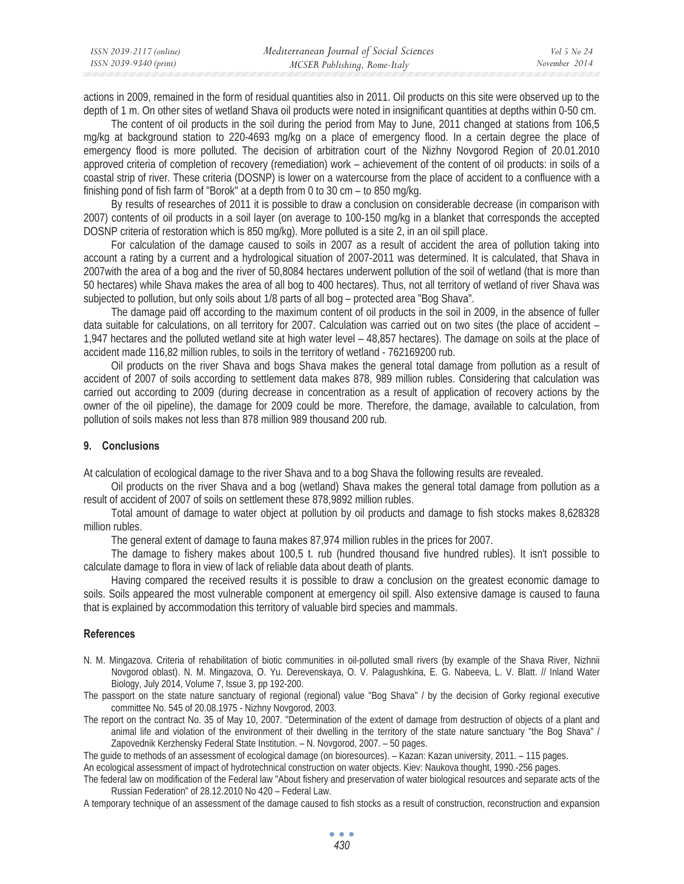| ISSN 2039-2117 (online) | Mediterranean Journal of Social Sciences | Vol 5 No 24   |
|-------------------------|------------------------------------------|---------------|
| ISSN 2039-9340 (print)  | MCSER Publishing, Rome-Italy             | November 2014 |

actions in 2009, remained in the form of residual quantities also in 2011. Oil products on this site were observed up to the depth of 1 m. On other sites of wetland Shava oil products were noted in insignificant quantities at depths within 0-50 cm.

The content of oil products in the soil during the period from May to June, 2011 changed at stations from 106,5 mg/kg at background station to 220-4693 mg/kg on a place of emergency flood. In a certain degree the place of emergency flood is more polluted. The decision of arbitration court of the Nizhny Novgorod Region of 20.01.2010 approved criteria of completion of recovery (remediation) work – achievement of the content of oil products: in soils of a coastal strip of river. These criteria (DOSNP) is lower on a watercourse from the place of accident to a confluence with a finishing pond of fish farm of "Borok" at a depth from 0 to 30 cm – to 850 mg/kg.

By results of researches of 2011 it is possible to draw a conclusion on considerable decrease (in comparison with 2007) contents of oil products in a soil layer (on average to 100-150 mg/kg in a blanket that corresponds the accepted DOSNP criteria of restoration which is 850 mg/kg). More polluted is a site 2, in an oil spill place.

For calculation of the damage caused to soils in 2007 as a result of accident the area of pollution taking into account a rating by a current and a hydrological situation of 2007-2011 was determined. It is calculated, that Shava in 2007with the area of a bog and the river of 50,8084 hectares underwent pollution of the soil of wetland (that is more than 50 hectares) while Shava makes the area of all bog to 400 hectares). Thus, not all territory of wetland of river Shava was subjected to pollution, but only soils about 1/8 parts of all bog – protected area "Bog Shava".

The damage paid off according to the maximum content of oil products in the soil in 2009, in the absence of fuller data suitable for calculations, on all territory for 2007. Calculation was carried out on two sites (the place of accident – 1,947 hectares and the polluted wetland site at high water level – 48,857 hectares). The damage on soils at the place of accident made 116,82 million rubles, to soils in the territory of wetland - 762169200 rub.

Oil products on the river Shava and bogs Shava makes the general total damage from pollution as a result of accident of 2007 of soils according to settlement data makes 878, 989 million rubles. Considering that calculation was carried out according to 2009 (during decrease in concentration as a result of application of recovery actions by the owner of the oil pipeline), the damage for 2009 could be more. Therefore, the damage, available to calculation, from pollution of soils makes not less than 878 million 989 thousand 200 rub.

#### **9. Conclusions**

At calculation of ecological damage to the river Shava and to a bog Shava the following results are revealed.

Oil products on the river Shava and a bog (wetland) Shava makes the general total damage from pollution as a result of accident of 2007 of soils on settlement these 878,9892 million rubles.

Total amount of damage to water object at pollution by oil products and damage to fish stocks makes 8,628328 million rubles.

The general extent of damage to fauna makes 87,974 million rubles in the prices for 2007.

The damage to fishery makes about 100,5 t. rub (hundred thousand five hundred rubles). It isn't possible to calculate damage to flora in view of lack of reliable data about death of plants.

Having compared the received results it is possible to draw a conclusion on the greatest economic damage to soils. Soils appeared the most vulnerable component at emergency oil spill. Also extensive damage is caused to fauna that is explained by accommodation this territory of valuable bird species and mammals.

#### **References**

N. M. Mingazova. Criteria of rehabilitation of biotic communities in oil-polluted small rivers (by example of the Shava River, Nizhnii Novgorod oblast). N. M. Mingazova, O. Yu. Derevenskaya, O. V. Palagushkina, E. G. Nabeeva, L. V. Blatt. // Inland Water Biology, July 2014, Volume 7, Issue 3, pp 192-200.

The passport on the state nature sanctuary of regional (regional) value "Bog Shava" / by the decision of Gorky regional executive committee No. 545 of 20.08.1975 - Nizhny Novgorod, 2003.

The report on the contract No. 35 of May 10, 2007. "Determination of the extent of damage from destruction of objects of a plant and animal life and violation of the environment of their dwelling in the territory of the state nature sanctuary "the Bog Shava" / Zapovednik Kerzhensky Federal State Institution. – N. Novgorod, 2007. – 50 pages.

The guide to methods of an assessment of ecological damage (on bioresources). – Kazan: Kazan university, 2011. – 115 pages.

An ecological assessment of impact of hydrotechnical construction on water objects. Kiev: Naukova thought, 1990.-256 pages.

The federal law on modification of the Federal law "About fishery and preservation of water biological resources and separate acts of the Russian Federation" of 28.12.2010 No 420 – Federal Law.

A temporary technique of an assessment of the damage caused to fish stocks as a result of construction, reconstruction and expansion